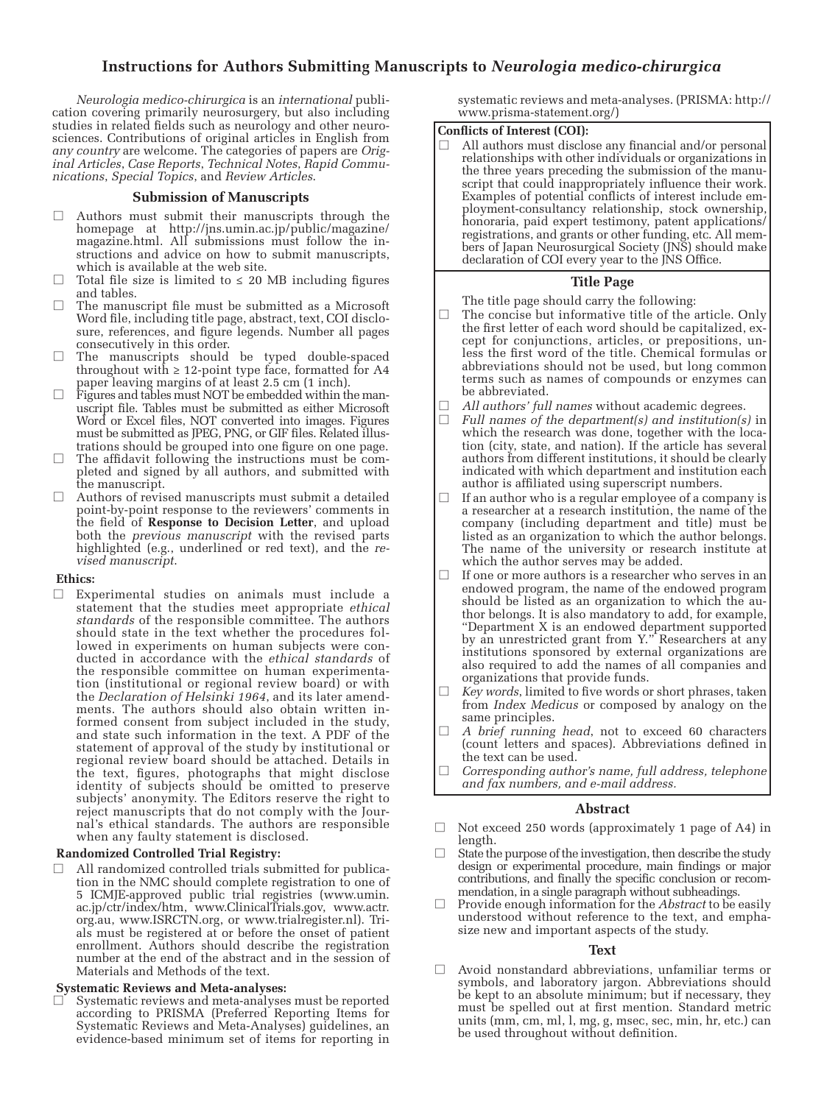# **Instructions for Authors Submitting Manuscripts to** *Neurologia medico-chirurgica*

*Neurologia medico-chirurgica* is an *international* publication covering primarily neurosurgery, but also including studies in related fields such as neurology and other neurosciences. Contributions of original articles in English from *any country* are welcome. The categories of papers are *Original Articles*, *Case Reports*, *Technical Notes*, *Rapid Communications*, *Special Topics*, and *Review Articles*.

### **Submission of Manuscripts**

- Authors must submit their manuscripts through the homepage at http://jns.umin.ac.jp/public/magazine/ magazine.html. All submissions must follow the instructions and advice on how to submit manuscripts, which is available at the web site.
- $\Box$  Total file size is limited to  $\leq$  20 MB including figures and tables.
- The manuscript file must be submitted as a Microsoft Word file, including title page, abstract, text, COI disclosure, references, and figure legends. Number all pages consecutively in this order.
- $\Box$  The manuscripts should be typed double-spaced throughout with  $\geq 12$ -point type face, formatted for A4 paper leaving margins of at least 2.5 cm (1 inch).
- Figures and tables must NOT be embedded within the manuscript file. Tables must be submitted as either Microsoft Word or Excel files, NOT converted into images. Figures must be submitted as JPEG, PNG, or GIF files. Related illustrations should be grouped into one figure on one page.
- $\Box$  The affidavit following the instructions must be completed and signed by all authors, and submitted with the manuscript.
- Authors of revised manuscripts must submit a detailed point-by-point response to the reviewers' comments in the field of **Response to Decision Letter**, and upload both the *previous manuscript* with the revised parts highlighted (e.g., underlined or red text), and the *revised manuscript*.

### **Ethics:**

□ Experimental studies on animals must include a statement that the studies meet appropriate *ethical standards* of the responsible committee. The authors should state in the text whether the procedures followed in experiments on human subjects were conducted in accordance with the *ethical standards* of the responsible committee on human experimentation (institutional or regional review board) or with the *Declaration of Helsinki 1964*, and its later amendments. The authors should also obtain written informed consent from subject included in the study, and state such information in the text. A PDF of the statement of approval of the study by institutional or regional review board should be attached. Details in the text, figures, photographs that might disclose identity of subjects should be omitted to preserve subjects' anonymity. The Editors reserve the right to reject manuscripts that do not comply with the Journal's ethical standards. The authors are responsible when any faulty statement is disclosed.

### **Randomized Controlled Trial Registry:**

□ All randomized controlled trials submitted for publication in the NMC should complete registration to one of 5 ICMJE-approved public trial registries (www.umin. ac.jp/ctr/index/htm, www.ClinicalTrials.gov, www.actr. org.au, www.ISRCTN.org, or www.trialregister.nl). Trials must be registered at or before the onset of patient enrollment. Authors should describe the registration number at the end of the abstract and in the session of Materials and Methods of the text.

### **Systematic Reviews and Meta-analyses:**

 $\Box$  Systematic reviews and meta-analyses must be reported according to PRISMA (Preferred Reporting Items for Systematic Reviews and Meta-Analyses) guidelines, an evidence-based minimum set of items for reporting in

systematic reviews and meta-analyses. (PRISMA: http:// www.prisma-statement.org/)

### **Conflicts of Interest (COI):**

All authors must disclose any financial and/or personal relationships with other individuals or organizations in the three years preceding the submission of the manuscript that could inappropriately influence their work. Examples of potential conflicts of interest include employment-consultancy relationship, stock ownership, honoraria, paid expert testimony, patent applications/ registrations, and grants or other funding, etc. All members of Japan Neurosurgical Society (JNS) should make declaration of COI every year to the JNS Office.

### **Title Page**

The title page should carry the following:

- □ The concise but informative title of the article. Only the first letter of each word should be capitalized, except for conjunctions, articles, or prepositions, unless the first word of the title. Chemical formulas or abbreviations should not be used, but long common terms such as names of compounds or enzymes can be abbreviated.
- $\Box$  *All authors' full names* without academic degrees.<br> $\Box$  *Full names of the department(s) and institution(s*
- Full names of the department(s) and institution(s) in which the research was done, together with the location (city, state, and nation). If the article has several authors from different institutions, it should be clearly indicated with which department and institution each author is affiliated using superscript numbers.
- $\Box$  If an author who is a regular employee of a company is a researcher at a research institution, the name of the company (including department and title) must be listed as an organization to which the author belongs. The name of the university or research institute at which the author serves may be added.
- □ If one or more authors is a researcher who serves in an endowed program, the name of the endowed program should be listed as an organization to which the author belongs. It is also mandatory to add, for example, "Department X is an endowed department supported by an unrestricted grant from Y." Researchers at any institutions sponsored by external organizations are also required to add the names of all companies and organizations that provide funds.
- Key words, limited to five words or short phrases, taken from *Index Medicus* or composed by analogy on the same principles.
- □ *A brief running head*, not to exceed 60 characters (count letters and spaces). Abbreviations defined in the text can be used.
- □ *Corresponding author's name, full address, telephone and fax numbers, and e-mail address.*

### **Abstract**

- □ Not exceed 250 words (approximately 1 page of A4) in length.
- $\Box$  State the purpose of the investigation, then describe the study design or experimental procedure, main findings or major contributions, and finally the specific conclusion or recommendation, in a single paragraph without subheadings.
- Provide enough information for the *Abstract* to be easily understood without reference to the text, and emphasize new and important aspects of the study.

### **Text**

□ Avoid nonstandard abbreviations, unfamiliar terms or symbols, and laboratory jargon. Abbreviations should be kept to an absolute minimum; but if necessary, they must be spelled out at first mention. Standard metric units (mm, cm, ml, l, mg, g, msec, sec, min, hr, etc.) can be used throughout without definition.